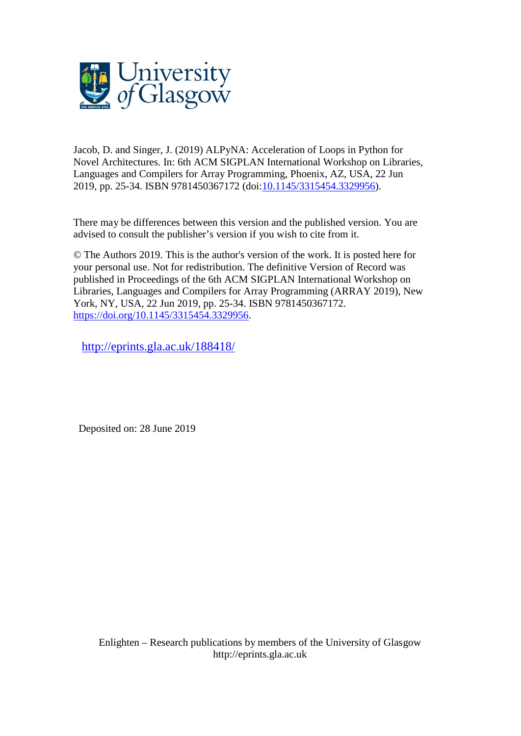

Jacob, D. and Singer, J. (2019) ALPyNA: Acceleration of Loops in Python for Novel Architectures. In: 6th ACM SIGPLAN International Workshop on Libraries, Languages and Compilers for Array Programming, Phoenix, AZ, USA, 22 Jun 2019, pp. 25-34. ISBN 9781450367172 (doi[:10.1145/3315454.3329956\)](http://dx.doi.org/10.1145/3315454.3329956).

There may be differences between this version and the published version. You are advised to consult the publisher's version if you wish to cite from it.

© The Authors 2019. This is the author's version of the work. It is posted here for your personal use. Not for redistribution. The definitive Version of Record was published in Proceedings of the 6th ACM SIGPLAN International Workshop on Libraries, Languages and Compilers for Array Programming (ARRAY 2019), New York, NY, USA, 22 Jun 2019, pp. 25-34. ISBN 9781450367172. [https://doi.org/10.1145/3315454.3329956.](https://doi.org/10.1145/3311823.3311850)

<http://eprints.gla.ac.uk/188418/>

Deposited on: 28 June 2019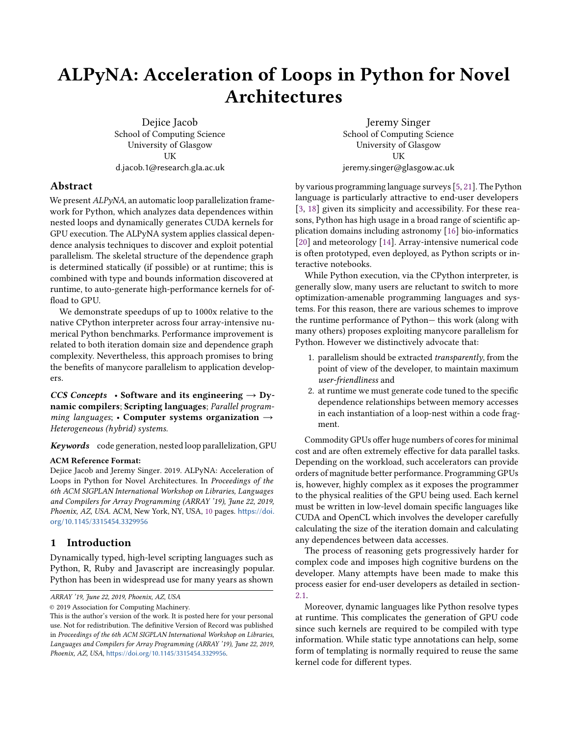# ALPyNA: Acceleration of Loops in Python for Novel Architectures

Dejice Jacob School of Computing Science University of Glasgow **IK** d.jacob.1@research.gla.ac.uk

## Abstract

We present  $ALPvNA$ , an automatic loop parallelization framework for Python, which analyzes data dependences within nested loops and dynamically generates CUDA kernels for GPU execution. The ALPyNA system applies classical dependence analysis techniques to discover and exploit potential parallelism. The skeletal structure of the dependence graph is determined statically (if possible) or at runtime; this is combined with type and bounds information discovered at runtime, to auto-generate high-performance kernels for offload to GPU.

We demonstrate speedups of up to 1000x relative to the native CPython interpreter across four array-intensive numerical Python benchmarks. Performance improvement is related to both iteration domain size and dependence graph complexity. Nevertheless, this approach promises to bring the benefits of manycore parallelism to application developers.

CCS Concepts • Software and its engineering  $\rightarrow$  Dynamic compilers; Scripting languages; Parallel programming languages; • Computer systems organization  $\rightarrow$ Heterogeneous (hybrid) systems.

Keywords code generation, nested loop parallelization, GPU

## ACM Reference Format:

Dejice Jacob and Jeremy Singer. 2019. ALPyNA: Acceleration of Loops in Python for Novel Architectures. In Proceedings of the 6th ACM SIGPLAN International Workshop on Libraries, Languages and Compilers for Array Programming (ARRAY '19), June 22, 2019, Phoenix, AZ, USA. ACM, New York, NY, USA, [10](#page-10-0) pages. [https://doi.](https://doi.org/10.1145/3315454.3329956) [org/10.1145/3315454.3329956](https://doi.org/10.1145/3315454.3329956)

## 1 Introduction

Dynamically typed, high-level scripting languages such as Python, R, Ruby and Javascript are increasingly popular. Python has been in widespread use for many years as shown

ARRAY '19, June 22, 2019, Phoenix, AZ, USA

© 2019 Association for Computing Machinery.

Jeremy Singer School of Computing Science University of Glasgow **IK** jeremy.singer@glasgow.ac.uk

by various programming language surveys [\[5,](#page-9-0) [21\]](#page-10-1). The Python language is particularly attractive to end-user developers [\[3,](#page-9-1) [18\]](#page-10-2) given its simplicity and accessibility. For these reasons, Python has high usage in a broad range of scientific application domains including astronomy [\[16\]](#page-9-2) bio-informatics [\[20\]](#page-10-3) and meteorology [\[14\]](#page-9-3). Array-intensive numerical code is often prototyped, even deployed, as Python scripts or interactive notebooks.

While Python execution, via the CPython interpreter, is generally slow, many users are reluctant to switch to more optimization-amenable programming languages and systems. For this reason, there are various schemes to improve the runtime performance of Python— this work (along with many others) proposes exploiting manycore parallelism for Python. However we distinctively advocate that:

- 1. parallelism should be extracted transparently, from the point of view of the developer, to maintain maximum user-friendliness and
- 2. at runtime we must generate code tuned to the specific dependence relationships between memory accesses in each instantiation of a loop-nest within a code fragment.

Commodity GPUs offer huge numbers of cores for minimal cost and are often extremely effective for data parallel tasks. Depending on the workload, such accelerators can provide orders of magnitude better performance. Programming GPUs is, however, highly complex as it exposes the programmer to the physical realities of the GPU being used. Each kernel must be written in low-level domain specific languages like CUDA and OpenCL which involves the developer carefully calculating the size of the iteration domain and calculating any dependences between data accesses.

The process of reasoning gets progressively harder for complex code and imposes high cognitive burdens on the developer. Many attempts have been made to make this process easier for end-user developers as detailed in section-[2.1.](#page-2-0)

Moreover, dynamic languages like Python resolve types at runtime. This complicates the generation of GPU code since such kernels are required to be compiled with type information. While static type annotations can help, some form of templating is normally required to reuse the same kernel code for different types.

This is the author's version of the work. It is posted here for your personal use. Not for redistribution. The definitive Version of Record was published in Proceedings of the 6th ACM SIGPLAN International Workshop on Libraries, Languages and Compilers for Array Programming (ARRAY '19), June 22, 2019, Phoenix, AZ, USA, <https://doi.org/10.1145/3315454.3329956>.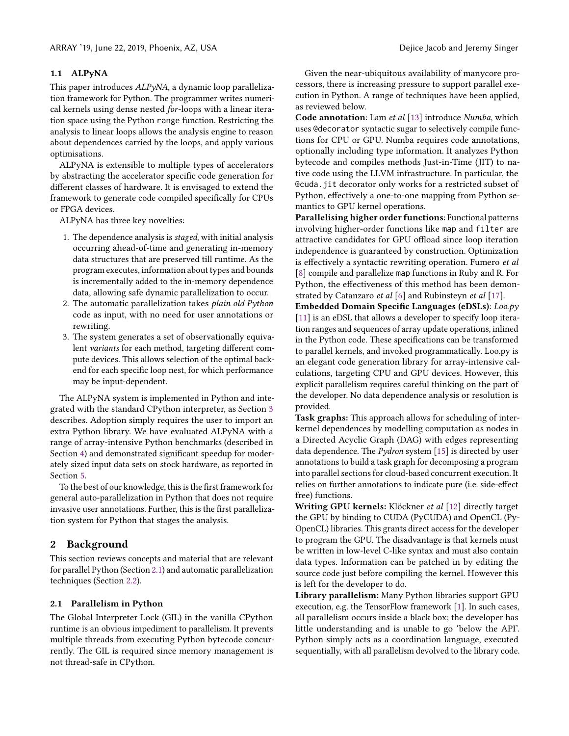## 1.1 ALPyNA

This paper introduces ALPyNA, a dynamic loop parallelization framework for Python. The programmer writes numerical kernels using dense nested for-loops with a linear iteration space using the Python range function. Restricting the analysis to linear loops allows the analysis engine to reason about dependences carried by the loops, and apply various optimisations.

ALPyNA is extensible to multiple types of accelerators by abstracting the accelerator specific code generation for different classes of hardware. It is envisaged to extend the framework to generate code compiled specifically for CPUs or FPGA devices.

ALPyNA has three key novelties:

- 1. The dependence analysis is staged, with initial analysis occurring ahead-of-time and generating in-memory data structures that are preserved till runtime. As the program executes, information about types and bounds is incrementally added to the in-memory dependence data, allowing safe dynamic parallelization to occur.
- 2. The automatic parallelization takes plain old Python code as input, with no need for user annotations or rewriting.
- 3. The system generates a set of observationally equivalent variants for each method, targeting different compute devices. This allows selection of the optimal backend for each specific loop nest, for which performance may be input-dependent.

The ALPyNA system is implemented in Python and integrated with the standard CPython interpreter, as Section [3](#page-4-0) describes. Adoption simply requires the user to import an extra Python library. We have evaluated ALPyNA with a range of array-intensive Python benchmarks (described in Section [4\)](#page-6-0) and demonstrated significant speedup for moderately sized input data sets on stock hardware, as reported in Section [5.](#page-6-1)

To the best of our knowledge, this is the first framework for general auto-parallelization in Python that does not require invasive user annotations. Further, this is the first parallelization system for Python that stages the analysis.

# 2 Background

This section reviews concepts and material that are relevant for parallel Python (Section [2.1\)](#page-2-0) and automatic parallelization techniques (Section [2.2\)](#page-3-0).

## <span id="page-2-0"></span>2.1 Parallelism in Python

The Global Interpreter Lock (GIL) in the vanilla CPython runtime is an obvious impediment to parallelism. It prevents multiple threads from executing Python bytecode concurrently. The GIL is required since memory management is not thread-safe in CPython.

Given the near-ubiquitous availability of manycore processors, there is increasing pressure to support parallel execution in Python. A range of techniques have been applied, as reviewed below.

Code annotation: Lam et al [\[13\]](#page-9-4) introduce Numba, which uses @decorator syntactic sugar to selectively compile functions for CPU or GPU. Numba requires code annotations, optionally including type information. It analyzes Python bytecode and compiles methods Just-in-Time (JIT) to native code using the LLVM infrastructure. In particular, the @cuda.jit decorator only works for a restricted subset of Python, effectively a one-to-one mapping from Python semantics to GPU kernel operations.

Parallelising higher order functions: Functional patterns involving higher-order functions like map and filter are attractive candidates for GPU offload since loop iteration independence is guaranteed by construction. Optimization is effectively a syntactic rewriting operation. Fumero *et al* [\[8\]](#page-9-5) compile and parallelize map functions in Ruby and R. For Python, the effectiveness of this method has been demonstrated by Catanzaro et al [\[6\]](#page-9-6) and Rubinsteyn et al [\[17\]](#page-10-4).

Embedded Domain Specific Languages (eDSLs): Loo.py [\[11\]](#page-9-7) is an eDSL that allows a developer to specify loop iteration ranges and sequences of array update operations, inlined in the Python code. These specifications can be transformed to parallel kernels, and invoked programmatically. Loo.py is an elegant code generation library for array-intensive calculations, targeting CPU and GPU devices. However, this explicit parallelism requires careful thinking on the part of the developer. No data dependence analysis or resolution is provided.

Task graphs: This approach allows for scheduling of interkernel dependences by modelling computation as nodes in a Directed Acyclic Graph (DAG) with edges representing data dependence. The *Pydron* system [\[15\]](#page-9-8) is directed by user annotations to build a task graph for decomposing a program into parallel sections for cloud-based concurrent execution. It relies on further annotations to indicate pure (i.e. side-effect free) functions.

Writing GPU kernels: Klöckner et al [\[12\]](#page-9-9) directly target the GPU by binding to CUDA (PyCUDA) and OpenCL (Py-OpenCL) libraries. This grants direct access for the developer to program the GPU. The disadvantage is that kernels must be written in low-level C-like syntax and must also contain data types. Information can be patched in by editing the source code just before compiling the kernel. However this is left for the developer to do.

Library parallelism: Many Python libraries support GPU execution, e.g. the TensorFlow framework [\[1\]](#page-9-10). In such cases, all parallelism occurs inside a black box; the developer has little understanding and is unable to go 'below the API'. Python simply acts as a coordination language, executed sequentially, with all parallelism devolved to the library code.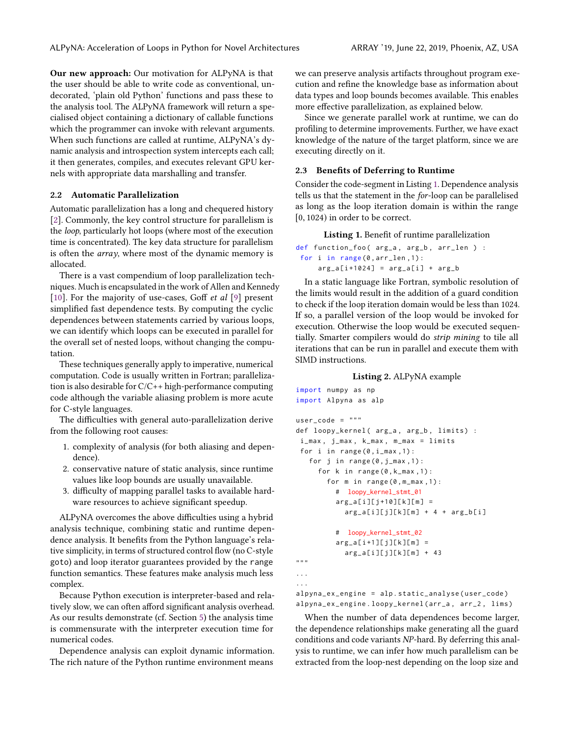Our new approach: Our motivation for ALPyNA is that the user should be able to write code as conventional, undecorated, 'plain old Python' functions and pass these to the analysis tool. The ALPyNA framework will return a specialised object containing a dictionary of callable functions which the programmer can invoke with relevant arguments. When such functions are called at runtime, ALPyNA's dynamic analysis and introspection system intercepts each call; it then generates, compiles, and executes relevant GPU kernels with appropriate data marshalling and transfer.

## <span id="page-3-0"></span>2.2 Automatic Parallelization

Automatic parallelization has a long and chequered history [\[2\]](#page-9-11). Commonly, the key control structure for parallelism is the loop, particularly hot loops (where most of the execution time is concentrated). The key data structure for parallelism is often the array, where most of the dynamic memory is allocated.

There is a vast compendium of loop parallelization techniques. Much is encapsulated in the work of Allen and Kennedy [\[10\]](#page-9-12). For the majority of use-cases, Goff et al [\[9\]](#page-9-13) present simplified fast dependence tests. By computing the cyclic dependences between statements carried by various loops, we can identify which loops can be executed in parallel for the overall set of nested loops, without changing the computation.

These techniques generally apply to imperative, numerical computation. Code is usually written in Fortran; parallelization is also desirable for C/C++ high-performance computing code although the variable aliasing problem is more acute for C-style languages.

The difficulties with general auto-parallelization derive from the following root causes:

- 1. complexity of analysis (for both aliasing and dependence).
- 2. conservative nature of static analysis, since runtime values like loop bounds are usually unavailable.
- 3. difficulty of mapping parallel tasks to available hardware resources to achieve significant speedup.

ALPyNA overcomes the above difficulties using a hybrid analysis technique, combining static and runtime dependence analysis. It benefits from the Python language's relative simplicity, in terms of structured control flow (no C-style goto) and loop iterator guarantees provided by the range function semantics. These features make analysis much less complex.

Because Python execution is interpreter-based and relatively slow, we can often afford significant analysis overhead. As our results demonstrate (cf. Section [5\)](#page-6-1) the analysis time is commensurate with the interpreter execution time for numerical codes.

Dependence analysis can exploit dynamic information. The rich nature of the Python runtime environment means

we can preserve analysis artifacts throughout program execution and refine the knowledge base as information about data types and loop bounds becomes available. This enables more effective parallelization, as explained below.

Since we generate parallel work at runtime, we can do profiling to determine improvements. Further, we have exact knowledge of the nature of the target platform, since we are executing directly on it.

## 2.3 Benefits of Deferring to Runtime

Consider the code-segment in Listing [1.](#page-3-1) Dependence analysis tells us that the statement in the for-loop can be parallelised as long as the loop iteration domain is within the range [0, <sup>1024</sup>) in order to be correct.

Listing 1. Benefit of runtime parallelization

```
def function_foo( arg_a, arg_b, arr_len ) :
for i in range(0, arr\_len, 1):
     arg_a[i+1024] = arg_a[i] + arg_b
```
In a static language like Fortran, symbolic resolution of the limits would result in the addition of a guard condition to check if the loop iteration domain would be less than 1024. If so, a parallel version of the loop would be invoked for execution. Otherwise the loop would be executed sequentially. Smarter compilers would do strip mining to tile all iterations that can be run in parallel and execute them with SIMD instructions.

## Listing 2. ALPyNA example

```
import numpy as np
import Alpyna as alp
user_code = """
def loopy_kernel( arg_a, arg_b, limits) :
 i_max , j_max , k_max , m_max = limits
 for i in range (0, i \texttt{max}, 1):
   for j in range (0, j max, 1) :
     for k in range (0, k_{max}, 1):
        for m in range (0, m_{max}, 1):
          # loopy_kernel_stmt_01
          arg_a[i][j+10][k][m] =arg_a[i][j][k][m] + 4 + arg_b[i]# loopy_kernel_stmt_02
          arg_a[i+1][j][k][m] =arg_a [ i ][ j ][ k ][ m ] + 43
"" ""
...
...
alpyna_ex_engine = alp . static_analyse ( user_code )
```

```
alpyna_ex_engine . loopy_kernel ( arr_a , arr_2 , lims )
```
When the number of data dependences become larger, the dependence relationships make generating all the guard conditions and code variants NP-hard. By deferring this analysis to runtime, we can infer how much parallelism can be extracted from the loop-nest depending on the loop size and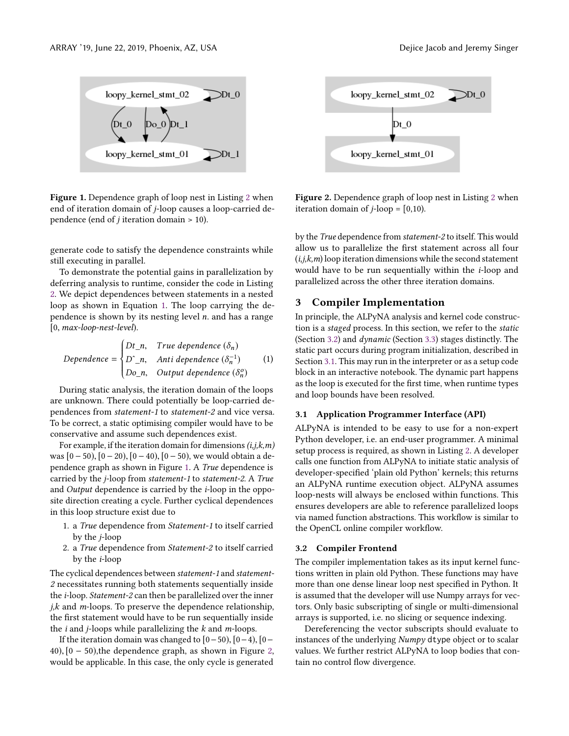<span id="page-4-2"></span>

Figure 1. Dependence graph of loop nest in Listing [2](#page-3-2) when end of iteration domain of j-loop causes a loop-carried dependence (end of  $j$  iteration domain  $> 10$ ).

generate code to satisfy the dependence constraints while still executing in parallel.

To demonstrate the potential gains in parallelization by deferring analysis to runtime, consider the code in Listing [2.](#page-3-2) We depict dependences between statements in a nested loop as shown in Equation [1.](#page-4-1) The loop carrying the dependence is shown by its nesting level  $n$ . and has a range [0, max-loop-nest-level).

<span id="page-4-1"></span>
$$
Dependence = \begin{cases} Dt_{.n}, & True dependence (\delta_n) \\ D^{\hat{}}_{.n}, & Anti dependence (\delta_n^{-1}) \\ Do_{.n}, & Output dependence (\delta_n^o) \end{cases}
$$
 (1)

 During static analysis, the iteration domain of the loops are unknown. There could potentially be loop-carried dependences from statement-1 to statement-2 and vice versa. To be correct, a static optimising compiler would have to be conservative and assume such dependences exist.

For example, if the iteration domain for dimensions  $(i,j,k,m)$ was  $[0 – 50)$ ,  $[0 – 20)$ ,  $[0 – 40)$ ,  $[0 – 50)$ , we would obtain a dependence graph as shown in Figure [1.](#page-4-2) A True dependence is carried by the j-loop from statement-1 to statement-2. A True and *Output* dependence is carried by the *i*-loop in the opposite direction creating a cycle. Further cyclical dependences in this loop structure exist due to

- 1. a True dependence from Statement-1 to itself carried by the j-loop
- 2. a True dependence from Statement-2 to itself carried by the i-loop

The cyclical dependences between statement-1 and statement-2 necessitates running both statements sequentially inside the i-loop. Statement-2 can then be parallelized over the inner  $j, k$  and  $m$ -loops. To preserve the dependence relationship, the first statement would have to be run sequentially inside the  $i$  and  $j$ -loops while parallelizing the  $k$  and  $m$ -loops.

If the iteration domain was changed to [0−50), [0−4), [0<sup>−</sup> 40),  $[0 - 50)$ , the dependence graph, as shown in Figure [2,](#page-4-3) would be applicable. In this case, the only cycle is generated

<span id="page-4-3"></span>

Figure [2](#page-3-2). Dependence graph of loop nest in Listing 2 when iteration domain of  $j$ -loop =  $[0,10)$ .

by the True dependence from statement-2 to itself. This would allow us to parallelize the first statement across all four  $(i,j,k,m)$  loop iteration dimensions while the second statement would have to be run sequentially within the i-loop and parallelized across the other three iteration domains.

# <span id="page-4-0"></span>3 Compiler Implementation

In principle, the ALPyNA analysis and kernel code construction is a staged process. In this section, we refer to the static (Section [3.2\)](#page-4-4) and dynamic (Section [3.3\)](#page-6-2) stages distinctly. The static part occurs during program initialization, described in Section [3.1.](#page-4-5) This may run in the interpreter or as a setup code block in an interactive notebook. The dynamic part happens as the loop is executed for the first time, when runtime types and loop bounds have been resolved.

## <span id="page-4-5"></span>3.1 Application Programmer Interface (API)

ALPyNA is intended to be easy to use for a non-expert Python developer, i.e. an end-user programmer. A minimal setup process is required, as shown in Listing [2.](#page-3-2) A developer calls one function from ALPyNA to initiate static analysis of developer-specified 'plain old Python' kernels; this returns an ALPyNA runtime execution object. ALPyNA assumes loop-nests will always be enclosed within functions. This ensures developers are able to reference parallelized loops via named function abstractions. This workflow is similar to the OpenCL online compiler workflow.

## <span id="page-4-4"></span>3.2 Compiler Frontend

The compiler implementation takes as its input kernel functions written in plain old Python. These functions may have more than one dense linear loop nest specified in Python. It is assumed that the developer will use Numpy arrays for vectors. Only basic subscripting of single or multi-dimensional arrays is supported, i.e. no slicing or sequence indexing.

Dereferencing the vector subscripts should evaluate to instances of the underlying Numpy dtype object or to scalar values. We further restrict ALPyNA to loop bodies that contain no control flow divergence.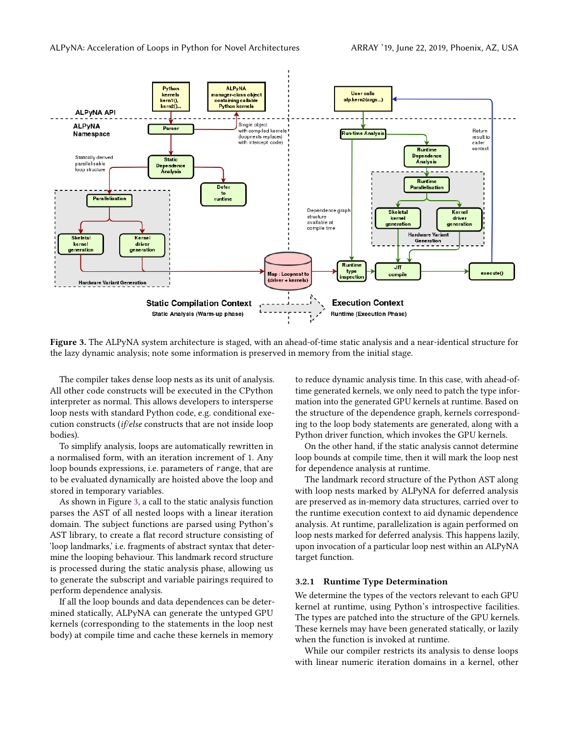<span id="page-5-0"></span>

Figure 3. The ALPyNA system architecture is staged, with an ahead-of-time static analysis and a near-identical structure for the lazy dynamic analysis; note some information is preserved in memory from the initial stage.

The compiler takes dense loop nests as its unit of analysis. All other code constructs will be executed in the CPython interpreter as normal. This allows developers to intersperse loop nests with standard Python code, e.g. conditional execution constructs (if/else constructs that are not inside loop bodies).

To simplify analysis, loops are automatically rewritten in a normalised form, with an iteration increment of 1. Any loop bounds expressions, i.e. parameters of range, that are to be evaluated dynamically are hoisted above the loop and stored in temporary variables.

As shown in Figure [3,](#page-5-0) a call to the static analysis function parses the AST of all nested loops with a linear iteration domain. The subject functions are parsed using Python's AST library, to create a flat record structure consisting of 'loop landmarks,' i.e. fragments of abstract syntax that determine the looping behaviour. This landmark record structure is processed during the static analysis phase, allowing us to generate the subscript and variable pairings required to perform dependence analysis.

If all the loop bounds and data dependences can be determined statically, ALPyNA can generate the untyped GPU kernels (corresponding to the statements in the loop nest body) at compile time and cache these kernels in memory

to reduce dynamic analysis time. In this case, with ahead-oftime generated kernels, we only need to patch the type information into the generated GPU kernels at runtime. Based on the structure of the dependence graph, kernels corresponding to the loop body statements are generated, along with a Python driver function, which invokes the GPU kernels.

On the other hand, if the static analysis cannot determine loop bounds at compile time, then it will mark the loop nest for dependence analysis at runtime.

The landmark record structure of the Python AST along with loop nests marked by ALPyNA for deferred analysis are preserved as in-memory data structures, carried over to the runtime execution context to aid dynamic dependence analysis. At runtime, parallelization is again performed on loop nests marked for deferred analysis. This happens lazily, upon invocation of a particular loop nest within an ALPyNA target function.

## 3.2.1 Runtime Type Determination

We determine the types of the vectors relevant to each GPU kernel at runtime, using Python's introspective facilities. The types are patched into the structure of the GPU kernels. These kernels may have been generated statically, or lazily when the function is invoked at runtime.

While our compiler restricts its analysis to dense loops with linear numeric iteration domains in a kernel, other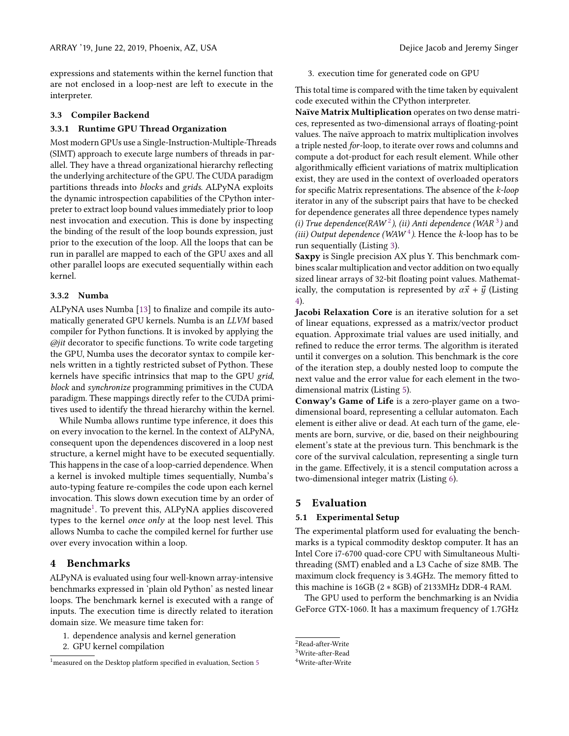expressions and statements within the kernel function that are not enclosed in a loop-nest are left to execute in the interpreter.

#### <span id="page-6-2"></span>3.3 Compiler Backend

## 3.3.1 Runtime GPU Thread Organization

Most modern GPUs use a Single-Instruction-Multiple-Threads (SIMT) approach to execute large numbers of threads in parallel. They have a thread organizational hierarchy reflecting the underlying architecture of the GPU. The CUDA paradigm partitions threads into blocks and grids. ALPyNA exploits the dynamic introspection capabilities of the CPython interpreter to extract loop bound values immediately prior to loop nest invocation and execution. This is done by inspecting the binding of the result of the loop bounds expression, just prior to the execution of the loop. All the loops that can be run in parallel are mapped to each of the GPU axes and all other parallel loops are executed sequentially within each kernel.

## 3.3.2 Numba

ALPyNA uses Numba [\[13\]](#page-9-4) to finalize and compile its automatically generated GPU kernels. Numba is an LLVM based compiler for Python functions. It is invoked by applying the @jit decorator to specific functions. To write code targeting the GPU, Numba uses the decorator syntax to compile kernels written in a tightly restricted subset of Python. These kernels have specific intrinsics that map to the GPU grid, block and synchronize programming primitives in the CUDA paradigm. These mappings directly refer to the CUDA primitives used to identify the thread hierarchy within the kernel.

While Numba allows runtime type inference, it does this on every invocation to the kernel. In the context of ALPyNA, consequent upon the dependences discovered in a loop nest structure, a kernel might have to be executed sequentially. This happens in the case of a loop-carried dependence. When a kernel is invoked multiple times sequentially, Numba's auto-typing feature re-compiles the code upon each kernel invocation. This slows down execution time by an order of magnitude<sup>[1](#page-6-3)</sup>. To prevent this, ALPyNA applies discovered types to the kernel once only at the loop nest level. This allows Numba to cache the compiled kernel for further use over every invocation within a loop.

## <span id="page-6-0"></span>4 Benchmarks

ALPyNA is evaluated using four well-known array-intensive benchmarks expressed in 'plain old Python' as nested linear loops. The benchmark kernel is executed with a range of inputs. The execution time is directly related to iteration domain size. We measure time taken for:

- 1. dependence analysis and kernel generation
- 2. GPU kernel compilation

3. execution time for generated code on GPU

This total time is compared with the time taken by equivalent code executed within the CPython interpreter.

Naïve Matrix Multiplication operates on two dense matrices, represented as two-dimensional arrays of floating-point values. The naïve approach to matrix multiplication involves a triple nested for-loop, to iterate over rows and columns and compute a dot-product for each result element. While other algorithmically efficient variations of matrix multiplication exist, they are used in the context of overloaded operators for specific Matrix representations. The absence of the k-loop iterator in any of the subscript pairs that have to be checked for dependence generates all three dependence types namely (i) True dependence(RAW<sup>[2](#page-6-4)</sup>), (ii) Anti dependence (WAR<sup>[3](#page-6-5)</sup>) and (iii) Output dependence (WAW<sup>[4](#page-6-6)</sup>). Hence the k-loop has to be run sequentially (Listing [3\)](#page-9-14).

Saxpy is Single precision AX plus Y. This benchmark combines scalar multiplication and vector addition on two equally sized linear arrays of 32-bit floating point values. Mathematically, the computation is represented by  $\alpha \vec{x} + \vec{y}$  (Listing [4\)](#page-9-15).

Jacobi Relaxation Core is an iterative solution for a set of linear equations, expressed as a matrix/vector product equation. Approximate trial values are used initially, and refined to reduce the error terms. The algorithm is iterated until it converges on a solution. This benchmark is the core of the iteration step, a doubly nested loop to compute the next value and the error value for each element in the twodimensional matrix (Listing [5\)](#page-9-16).

Conway's Game of Life is a zero-player game on a twodimensional board, representing a cellular automaton. Each element is either alive or dead. At each turn of the game, elements are born, survive, or die, based on their neighbouring element's state at the previous turn. This benchmark is the core of the survival calculation, representing a single turn in the game. Effectively, it is a stencil computation across a two-dimensional integer matrix (Listing [6\)](#page-9-17).

## <span id="page-6-1"></span>5 Evaluation

#### 5.1 Experimental Setup

The experimental platform used for evaluating the benchmarks is a typical commodity desktop computer. It has an Intel Core i7-6700 quad-core CPU with Simultaneous Multithreading (SMT) enabled and a L3 Cache of size 8MB. The maximum clock frequency is 3.4GHz. The memory fitted to this machine is 16GB (2 ∗ 8GB) of 2133MHz DDR-4 RAM.

The GPU used to perform the benchmarking is an Nvidia GeForce GTX-1060. It has a maximum frequency of 1.7GHz

<span id="page-6-3"></span> $1$ measured on the Desktop platform specified in evaluation, Section [5](#page-6-1)

<span id="page-6-4"></span><sup>2</sup>Read-after-Write

<span id="page-6-5"></span><sup>3</sup>Write-after-Read

<span id="page-6-6"></span><sup>4</sup>Write-after-Write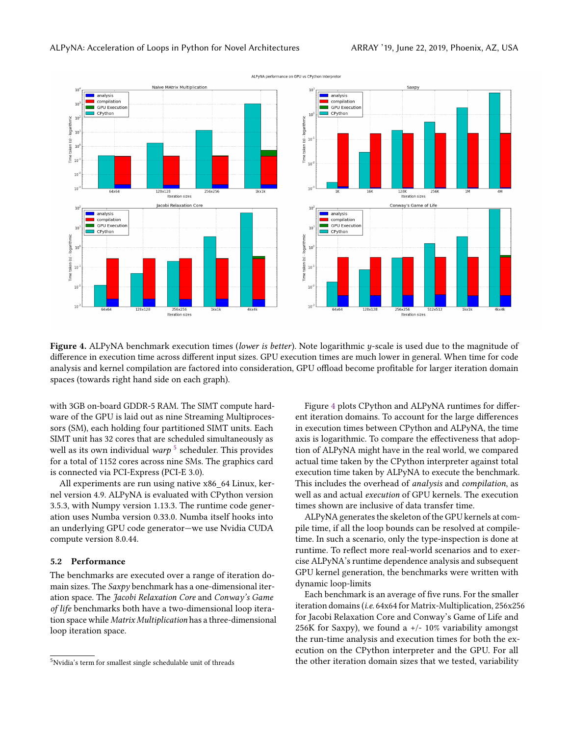<span id="page-7-1"></span>

ALPyNA performance on GPU vs CPython Interpretor

Figure 4. ALPyNA benchmark execution times (lower is better). Note logarithmic y-scale is used due to the magnitude of difference in execution time across different input sizes. GPU execution times are much lower in general. When time for code analysis and kernel compilation are factored into consideration, GPU offload become profitable for larger iteration domain spaces (towards right hand side on each graph).

with 3GB on-board GDDR-5 RAM. The SIMT compute hardware of the GPU is laid out as nine Streaming Multiprocessors (SM), each holding four partitioned SIMT units. Each SIMT unit has 32 cores that are scheduled simultaneously as well as its own individual  $\it warp^{\,5}$  $\it warp^{\,5}$  $\it warp^{\,5}$  scheduler. This provides for a total of 1152 cores across nine SMs. The graphics card is connected via PCI-Express (PCI-E 3.0).

All experiments are run using native x86\_64 Linux, kernel version 4.9. ALPyNA is evaluated with CPython version 3.5.3, with Numpy version 1.13.3. The runtime code generation uses Numba version 0.33.0. Numba itself hooks into an underlying GPU code generator—we use Nvidia CUDA compute version 8.0.44.

## 5.2 Performance

The benchmarks are executed over a range of iteration domain sizes. The Saxpy benchmark has a one-dimensional iteration space. The Jacobi Relaxation Core and Conway's Game of life benchmarks both have a two-dimensional loop iteration space while Matrix Multiplication has a three-dimensional loop iteration space.

Figure [4](#page-7-1) plots CPython and ALPyNA runtimes for different iteration domains. To account for the large differences in execution times between CPython and ALPyNA, the time axis is logarithmic. To compare the effectiveness that adoption of ALPyNA might have in the real world, we compared actual time taken by the CPython interpreter against total execution time taken by ALPyNA to execute the benchmark. This includes the overhead of analysis and compilation, as well as and actual execution of GPU kernels. The execution times shown are inclusive of data transfer time.

ALPyNA generates the skeleton of the GPU kernels at compile time, if all the loop bounds can be resolved at compiletime. In such a scenario, only the type-inspection is done at runtime. To reflect more real-world scenarios and to exercise ALPyNA's runtime dependence analysis and subsequent GPU kernel generation, the benchmarks were written with dynamic loop-limits

Each benchmark is an average of five runs. For the smaller iteration domains (i.e. 64x64 for Matrix-Multiplication, 256x256 for Jacobi Relaxation Core and Conway's Game of Life and 256K for Saxpy), we found a  $+/- 10\%$  variability amongst the run-time analysis and execution times for both the execution on the CPython interpreter and the GPU. For all the other iteration domain sizes that we tested, variability

<span id="page-7-0"></span><sup>5</sup>Nvidia's term for smallest single schedulable unit of threads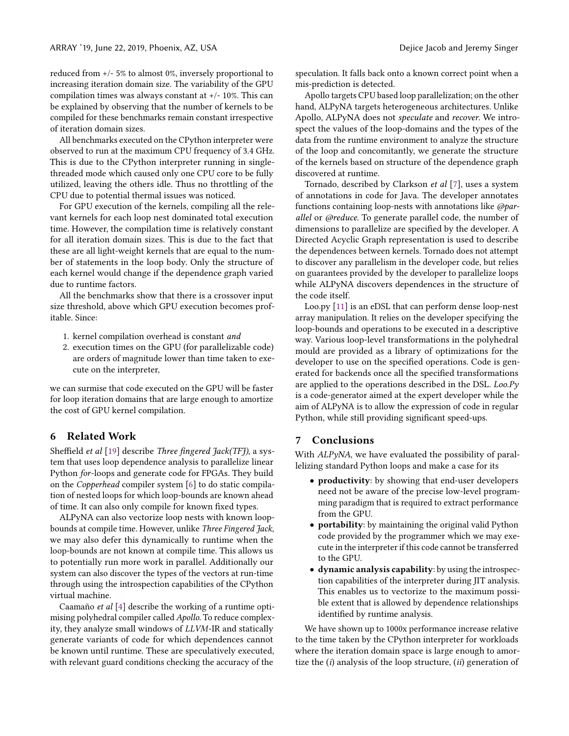reduced from +/- 5% to almost 0%, inversely proportional to increasing iteration domain size. The variability of the GPU compilation times was always constant at +/- 10%. This can be explained by observing that the number of kernels to be compiled for these benchmarks remain constant irrespective of iteration domain sizes.

All benchmarks executed on the CPython interpreter were observed to run at the maximum CPU frequency of 3.4 GHz. This is due to the CPython interpreter running in singlethreaded mode which caused only one CPU core to be fully utilized, leaving the others idle. Thus no throttling of the CPU due to potential thermal issues was noticed.

For GPU execution of the kernels, compiling all the relevant kernels for each loop nest dominated total execution time. However, the compilation time is relatively constant for all iteration domain sizes. This is due to the fact that these are all light-weight kernels that are equal to the number of statements in the loop body. Only the structure of each kernel would change if the dependence graph varied due to runtime factors.

All the benchmarks show that there is a crossover input size threshold, above which GPU execution becomes profitable. Since:

- 1. kernel compilation overhead is constant and
- 2. execution times on the GPU (for parallelizable code) are orders of magnitude lower than time taken to execute on the interpreter,

we can surmise that code executed on the GPU will be faster for loop iteration domains that are large enough to amortize the cost of GPU kernel compilation.

## 6 Related Work

Sheffield et al [\[19\]](#page-10-5) describe Three fingered Jack(TFJ), a system that uses loop dependence analysis to parallelize linear Python for-loops and generate code for FPGAs. They build on the Copperhead compiler system [\[6\]](#page-9-6) to do static compilation of nested loops for which loop-bounds are known ahead of time. It can also only compile for known fixed types.

ALPyNA can also vectorize loop nests with known loopbounds at compile time. However, unlike Three Fingered Jack, we may also defer this dynamically to runtime when the loop-bounds are not known at compile time. This allows us to potentially run more work in parallel. Additionally our system can also discover the types of the vectors at run-time through using the introspection capabilities of the CPython virtual machine.

Caamaño et al [\[4\]](#page-9-18) describe the working of a runtime optimising polyhedral compiler called Apollo. To reduce complexity, they analyze small windows of LLVM-IR and statically generate variants of code for which dependences cannot be known until runtime. These are speculatively executed, with relevant guard conditions checking the accuracy of the

speculation. It falls back onto a known correct point when a mis-prediction is detected.

Apollo targets CPU based loop parallelization; on the other hand, ALPyNA targets heterogeneous architectures. Unlike Apollo, ALPyNA does not speculate and recover. We introspect the values of the loop-domains and the types of the data from the runtime environment to analyze the structure of the loop and concomitantly, we generate the structure of the kernels based on structure of the dependence graph discovered at runtime.

Tornado, described by Clarkson et al [\[7\]](#page-9-19), uses a system of annotations in code for Java. The developer annotates functions containing loop-nests with annotations like @parallel or @reduce. To generate parallel code, the number of dimensions to parallelize are specified by the developer. A Directed Acyclic Graph representation is used to describe the dependences between kernels. Tornado does not attempt to discover any parallelism in the developer code, but relies on guarantees provided by the developer to parallelize loops while ALPyNA discovers dependences in the structure of the code itself.

Loo.py [\[11\]](#page-9-7) is an eDSL that can perform dense loop-nest array manipulation. It relies on the developer specifying the loop-bounds and operations to be executed in a descriptive way. Various loop-level transformations in the polyhedral mould are provided as a library of optimizations for the developer to use on the specified operations. Code is generated for backends once all the specified transformations are applied to the operations described in the DSL. Loo.Py is a code-generator aimed at the expert developer while the aim of ALPyNA is to allow the expression of code in regular Python, while still providing significant speed-ups.

# 7 Conclusions

With ALPyNA, we have evaluated the possibility of parallelizing standard Python loops and make a case for its

- productivity: by showing that end-user developers need not be aware of the precise low-level programming paradigm that is required to extract performance from the GPU.
- portability: by maintaining the original valid Python code provided by the programmer which we may execute in the interpreter if this code cannot be transferred to the GPU.
- dynamic analysis capability: by using the introspection capabilities of the interpreter during JIT analysis. This enables us to vectorize to the maximum possible extent that is allowed by dependence relationships identified by runtime analysis.

We have shown up to 1000x performance increase relative to the time taken by the CPython interpreter for workloads where the iteration domain space is large enough to amortize the  $(i)$  analysis of the loop structure,  $(ii)$  generation of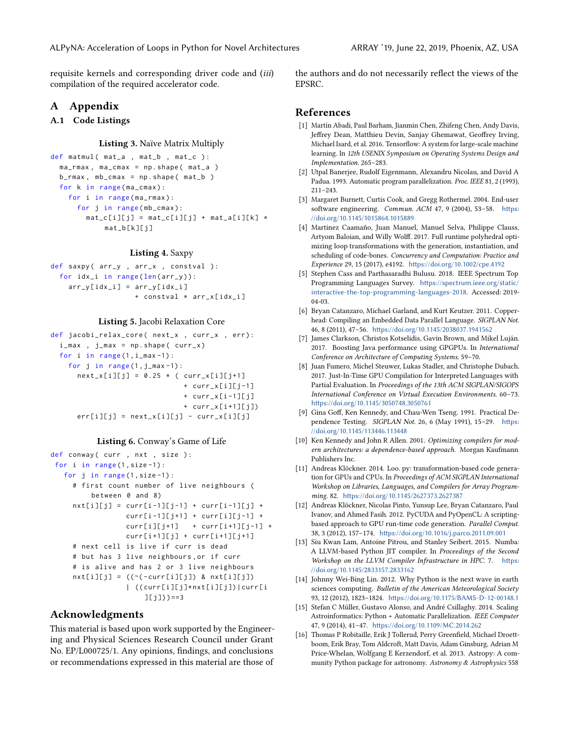requisite kernels and corresponding driver code and (iii) compilation of the required accelerator code.

# A Appendix

## A.1 Code Listings

## Listing 3. Naïve Matrix Multiply

```
def matmul ( mat_a , mat_b , mat_c ) :
 ma_{rm}, ma_{cm} = np.shape(mat_a)
 b_rmax , mb_cmax = np . shape ( mat_b )
 for k in range (ma_cmax):
    for i in range (ma_rmax) :
      for j in range (mb_cmax) :
        mat_c[i][j] = mat_c[i][j] + mat_a[i][k] *mat_b[k][j]
```
## Listing 4. Saxpy

```
def saxpy( arr_y , arr_x , constval ):
  for idx_i in range (len(arr_y)):
    arr_y [idx_i] = arr_y [idx_i]+ constval * arr_x [ idx_i ]
```
## Listing 5. Jacobi Relaxation Core

```
def jacobi_relax_core( next_x , curr_x , err):
  i_{max}, j_{max} = np.shape( curr_x)
  for i in range(1, i_max-1):
    for j in range (1, j max -1) :
      next_x[i][j] = 0.25 * (curr_x[i][j+1]+ curr_x [ i ][ j -1]
                                 + curr_x [i -1][ j ]
                                 + curr_x [ i +1][ j ])
      err[i][j] = next_x[i][j] - curr_x[i][j]
```
#### Listing 6. Conway's Game of Life

```
def conway ( curr , nxt , size ):
 for i in range(1, size -1):
   for j in range (1 , size -1) :
     # first count number of live neighbours (
         between 0 and 8)
     nxt[i][j] = curr[i-1][j-1] + curr[i-1][j] + ...curr[i - 1][j + 1] + curr[i][j - 1] + ...curr[i][j+1] + curr[i+1][j-1] +
                  curr[i+1][j] + curr[i+1][j+1]# next cell is live if curr is dead
     # but has 3 live neighbours , or if curr
     # is alive and has 2 or 3 live neighbours
     nxt[i][j] = ((-(-curr[i][j]) & x nxt[i][j])| (( curr [ i ][ j ]* nxt [ i ][ j ]) | curr [ i
                       J[j]) ==3
```
# Acknowledgments

This material is based upon work supported by the Engineering and Physical Sciences Research Council under Grant No. EP/L000725/1. Any opinions, findings, and conclusions or recommendations expressed in this material are those of

the authors and do not necessarily reflect the views of the EPSRC.

## References

- <span id="page-9-10"></span>[1] Martín Abadi, Paul Barham, Jianmin Chen, Zhifeng Chen, Andy Davis, Jeffrey Dean, Matthieu Devin, Sanjay Ghemawat, Geoffrey Irving, Michael Isard, et al. 2016. Tensorflow: A system for large-scale machine learning. In 12th USENIX Symposium on Operating Systems Design and Implementation. 265–283.
- <span id="page-9-11"></span>[2] Utpal Banerjee, Rudolf Eigenmann, Alexandru Nicolau, and David A Padua. 1993. Automatic program parallelization. Proc. IEEE 81, 2 (1993), 211–243.
- <span id="page-9-1"></span>[3] Margaret Burnett, Curtis Cook, and Gregg Rothermel. 2004. End-user software engineering. Commun. ACM 47, 9 (2004), 53–58. [https:](https://doi.org/10.1145/1015864.1015889) [//doi.org/10.1145/1015864.1015889](https://doi.org/10.1145/1015864.1015889)
- <span id="page-9-18"></span>[4] Martinez Caamaño, Juan Manuel, Manuel Selva, Philippe Clauss, Artyom Baloian, and Willy Wolff. 2017. Full runtime polyhedral optimizing loop transformations with the generation, instantiation, and scheduling of code-bones. Concurrency and Computation: Practice and Experience 29, 15 (2017), e4192. <https://doi.org/10.1002/cpe.4192>
- <span id="page-9-0"></span>[5] Stephen Cass and Parthasaradhi Bulusu. 2018. IEEE Spectrum Top Programming Languages Survey. [https://spectrum.ieee.org/static/](https://spectrum.ieee.org/static/interactive-the-top-programming-languages-2018) [interactive-the-top-programming-languages-2018](https://spectrum.ieee.org/static/interactive-the-top-programming-languages-2018). Accessed: 2019- 04-03.
- <span id="page-9-6"></span>[6] Bryan Catanzaro, Michael Garland, and Kurt Keutzer. 2011. Copperhead: Compiling an Embedded Data Parallel Language. SIGPLAN Not. 46, 8 (2011), 47–56. <https://doi.org/10.1145/2038037.1941562>
- <span id="page-9-19"></span>[7] James Clarkson, Christos Kotselidis, Gavin Brown, and Mikel Luján. 2017. Boosting Java performance using GPGPUs. In International Conference on Architecture of Computing Systems. 59–70.
- <span id="page-9-5"></span>[8] Juan Fumero, Michel Steuwer, Lukas Stadler, and Christophe Dubach. 2017. Just-In-Time GPU Compilation for Interpreted Languages with Partial Evaluation. In Proceedings of the 13th ACM SIGPLAN/SIGOPS International Conference on Virtual Execution Environments. 60–73. <https://doi.org/10.1145/3050748.3050761>
- <span id="page-9-13"></span>[9] Gina Goff, Ken Kennedy, and Chau-Wen Tseng. 1991. Practical Dependence Testing. SIGPLAN Not. 26, 6 (May 1991), 15–29. [https:](https://doi.org/10.1145/113446.113448) [//doi.org/10.1145/113446.113448](https://doi.org/10.1145/113446.113448)
- <span id="page-9-12"></span>[10] Ken Kennedy and John R Allen. 2001. Optimizing compilers for modern architectures: a dependence-based approach. Morgan Kaufmann Publishers Inc.
- <span id="page-9-7"></span>[11] Andreas Klöckner. 2014. Loo. py: transformation-based code generation for GPUs and CPUs. In Proceedings of ACM SIGPLAN International Workshop on Libraries, Languages, and Compilers for Array Programming. 82. <https://doi.org/10.1145/2627373.2627387>
- <span id="page-9-9"></span>[12] Andreas Klöckner, Nicolas Pinto, Yunsup Lee, Bryan Catanzaro, Paul Ivanov, and Ahmed Fasih. 2012. PyCUDA and PyOpenCL: A scriptingbased approach to GPU run-time code generation. Parallel Comput. 38, 3 (2012), 157–174. <https://doi.org/10.1016/j.parco.2011.09.001>
- <span id="page-9-4"></span>[13] Siu Kwan Lam, Antoine Pitrou, and Stanley Seibert. 2015. Numba: A LLVM-based Python JIT compiler. In Proceedings of the Second Workshop on the LLVM Compiler Infrastructure in HPC. 7. [https:](https://doi.org/10.1145/2833157.2833162) [//doi.org/10.1145/2833157.2833162](https://doi.org/10.1145/2833157.2833162)
- <span id="page-9-3"></span>[14] Johnny Wei-Bing Lin. 2012. Why Python is the next wave in earth sciences computing. Bulletin of the American Meteorological Society 93, 12 (2012), 1823–1824. <https://doi.org/10.1175/BAMS-D-12-00148.1>
- <span id="page-9-8"></span>[15] Stefan C Müller, Gustavo Alonso, and André Csillaghy. 2014. Scaling Astroinformatics: Python + Automatic Parallelization. IEEE Computer 47, 9 (2014), 41–47. <https://doi.org/10.1109/MC.2014.262>
- <span id="page-9-2"></span>[16] Thomas P Robitaille, Erik J Tollerud, Perry Greenfield, Michael Droettboom, Erik Bray, Tom Aldcroft, Matt Davis, Adam Ginsburg, Adrian M Price-Whelan, Wolfgang E Kerzendorf, et al. 2013. Astropy: A community Python package for astronomy. Astronomy & Astrophysics 558